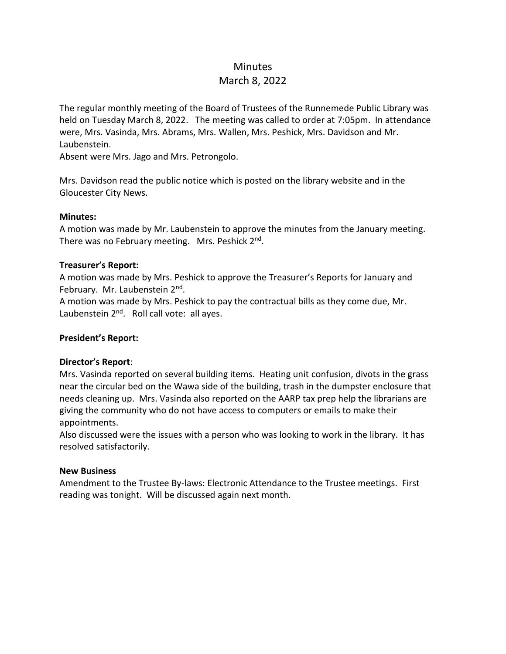# Minutes

# March 8, 2022

The regular monthly meeting of the Board of Trustees of the Runnemede Public Library was held on Tuesday March 8, 2022. The meeting was called to order at 7:05pm. In attendance were, Mrs. Vasinda, Mrs. Abrams, Mrs. Wallen, Mrs. Peshick, Mrs. Davidson and Mr. Laubenstein.

Absent were Mrs. Jago and Mrs. Petrongolo.

Mrs. Davidson read the public notice which is posted on the library website and in the Gloucester City News.

## **Minutes:**

A motion was made by Mr. Laubenstein to approve the minutes from the January meeting. There was no February meeting. Mrs. Peshick 2<sup>nd</sup>.

### **Treasurer's Report:**

A motion was made by Mrs. Peshick to approve the Treasurer's Reports for January and February. Mr. Laubenstein 2<sup>nd</sup>.

A motion was made by Mrs. Peshick to pay the contractual bills as they come due, Mr. Laubenstein 2<sup>nd</sup>. Roll call vote: all ayes.

## **President's Report:**

### **Director's Report**:

Mrs. Vasinda reported on several building items. Heating unit confusion, divots in the grass near the circular bed on the Wawa side of the building, trash in the dumpster enclosure that needs cleaning up. Mrs. Vasinda also reported on the AARP tax prep help the librarians are giving the community who do not have access to computers or emails to make their appointments.

Also discussed were the issues with a person who was looking to work in the library. It has resolved satisfactorily.

### **New Business**

Amendment to the Trustee By-laws: Electronic Attendance to the Trustee meetings. First reading was tonight. Will be discussed again next month.